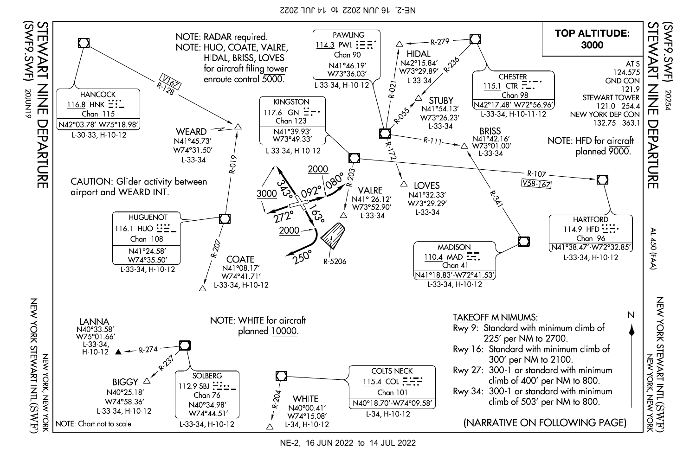NE-2, 16 JUN 2022 to 14 JUL 2022



NE-2, 16 JUN 2022 to 14 JUL 2022